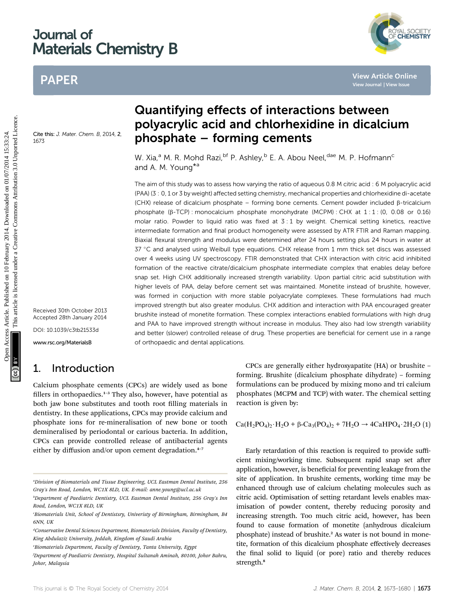# Journal of Materials Chemistry B

# PAPER

Cite this: J. Mater. Chem. B. 2014, 2 1673

Received 30th October 2013 Accepted 28th January 2014

DOI: 10.1039/c3tb21533d

www.rsc.org/MaterialsB

## 1. Introduction

Calcium phosphate cements (CPCs) are widely used as bone fillers in orthopaedics. $1-3$  They also, however, have potential as both jaw bone substitutes and tooth root filling materials in dentistry. In these applications, CPCs may provide calcium and phosphate ions for re-mineralisation of new bone or tooth demineralised by periodontal or carious bacteria. In addition, CPCs can provide controlled release of antibacterial agents either by diffusion and/or upon cement degradation. $4-7$ 

# Quantifying effects of interactions between polyacrylic acid and chlorhexidine in dicalcium phosphate – forming cements

W. Xia,<sup>a</sup> M. R. Mohd Razi, <sup>bf</sup> P. Ashley, <sup>b</sup> E. A. Abou Neel, <sup>dae</sup> M. P. Hofmann<sup>c</sup> and A. M. Young<sup>\*a</sup>

The aim of this study was to assess how varying the ratio of aqueous 0.8 M citric acid : 6 M polyacrylic acid (PAA) (3 : 0, 1 or 3 by weight) affected setting chemistry, mechanical properties and chlorhexidine di-acetate (CHX) release of dicalcium phosphate – forming bone cements. Cement powder included  $\beta$ -tricalcium phosphate (b-TCP) : monocalcium phosphate monohydrate (MCPM) : CHX at 1 : 1 : (0, 0.08 or 0.16) molar ratio. Powder to liquid ratio was fixed at  $3:1$  by weight. Chemical setting kinetics, reactive intermediate formation and final product homogeneity were assessed by ATR FTIR and Raman mapping. Biaxial flexural strength and modulus were determined after 24 hours setting plus 24 hours in water at 37 °C and analysed using Weibull type equations. CHX release from 1 mm thick set discs was assessed over 4 weeks using UV spectroscopy. FTIR demonstrated that CHX interaction with citric acid inhibited formation of the reactive citrate/dicalcium phosphate intermediate complex that enables delay before snap set. High CHX additionally increased strength variability. Upon partial citric acid substitution with higher levels of PAA, delay before cement set was maintained. Monetite instead of brushite, however, was formed in conjuction with more stable polyacrylate complexes. These formulations had much improved strength but also greater modulus. CHX addition and interaction with PAA encouraged greater brushite instead of monetite formation. These complex interactions enabled formulations with high drug and PAA to have improved strength without increase in modulus. They also had low strength variability and better (slower) controlled release of drug. These properties are beneficial for cement use in a range of orthopaedic and dental applications. PAPER<br> **Quantifying effects of interactions between**<br> **DOUSACY CONTINE CONTRACT CONTRACT CONTRACT CONTRACT CONTRACT CONTRACT CONTRACT CONTRACT CONTRACT CONTRACT CONTRACT CONTRACT CONTRACT CONTRACT CONTRACT CONTRACT CONTRA** 

> CPCs are generally either hydroxyapatite (HA) or brushite – forming. Brushite (dicalcium phosphate dihydrate) – forming formulations can be produced by mixing mono and tri calcium phosphates (MCPM and TCP) with water. The chemical setting reaction is given by:

$$
Ca(H_2PO_4)_2 \cdot H_2O + \beta-Ca_3(PO_4)_2 + 7H_2O \rightarrow 4CaHPO_4 \cdot 2H_2O (1)
$$

Early retardation of this reaction is required to provide sufficient mixing/working time. Subsequent rapid snap set after application, however, is beneficial for preventing leakage from the site of application. In brushite cements, working time may be enhanced through use of calcium chelating molecules such as citric acid. Optimisation of setting retardant levels enables maximisation of powder content, thereby reducing porosity and increasing strength. Too much citric acid, however, has been found to cause formation of monetite (anhydrous dicalcium phosphate) instead of brushite.<sup>2</sup> As water is not bound in monetite, formation of this dicalcium phosphate effectively decreases the final solid to liquid (or pore) ratio and thereby reduces strength.<sup>8</sup>



a Division of Biomaterials and Tissue Engineering, UCL Eastman Dental Institute, 256 Gray's Inn Road, London, WC1X 8LD, UK. E-mail: anne.young@ucl.ac.uk

b Department of Paediatric Dentistry, UCL Eastman Dental Institute, 256 Gray's Inn Road, London, WC1X 8LD, UK

c Biomaterials Unit, School of Dentistsry, Univeristy of Birmingham, Birmingham, B4 6NN, UK

<sup>&</sup>lt;sup>d</sup>Conservative Dental Sciences Department, Biomaterials Division, Faculty of Dentistry, King Abdulaziz University, Jeddah, Kingdom of Saudi Arabia

e Biomaterials Department, Faculty of Dentistry, Tanta University, Egypt

f Department of Paediatric Dentistry, Hospital Sultanah Aminah, 80100, Johor Bahru, Johor, Malaysia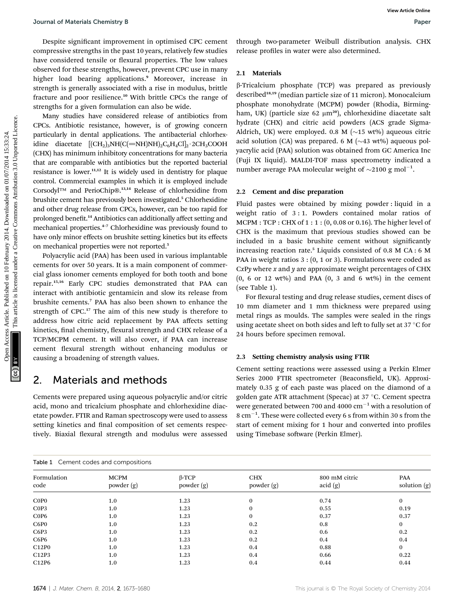Despite significant improvement in optimised CPC cement compressive strengths in the past 10 years, relatively few studies have considered tensile or flexural properties. The low values observed for these strengths, however, prevent CPC use in many higher load bearing applications.<sup>9</sup> Moreover, increase in strength is generally associated with a rise in modulus, brittle fracture and poor resilience.<sup>10</sup> With brittle CPCs the range of strengths for a given formulation can also be wide.

Many studies have considered release of antibiotics from CPCs. Antibiotic resistance, however, is of growing concern particularly in dental applications. The antibacterial chlorhexidine diacetate  $[(CH_2)_3NH(C(=NH)NH)_2C_6H_4Cl]_2.2CH_3COOH$ (CHX) has minimum inhibitory concentrations for many bacteria that are comparable with antibiotics but the reported bacterial resistance is lower. $11,12$  It is widely used in dentistry for plaque control. Commercial examples in which it is employed include Corsodyl™ and PerioChip®.13,14 Release of chlorhexidine from brushite cement has previously been investigated.<sup>5</sup> Chlorhexidine and other drug release from CPCs, however, can be too rapid for prolonged benefit.<sup>14</sup> Antibiotics can additionally affect setting and mechanical properties.<sup>4</sup>–<sup>7</sup> Chlorhexidine was previously found to have only minor effects on brushite setting kinetics but its effects on mechanical properties were not reported.<sup>5</sup> Journal of Muterials Chemistry 8<br>
Despite significant imputes articles. The compression the published on the compression of the compression of the compression of the compression of the common access Capacitation and the c

Polyacrylic acid (PAA) has been used in various implantable cements for over 50 years. It is a main component of commercial glass ionomer cements employed for both tooth and bone repair.15,16 Early CPC studies demonstrated that PAA can interact with antibiotic gentamicin and slow its release from brushite cements.<sup>7</sup> PAA has also been shown to enhance the strength of CPC.<sup>17</sup> The aim of this new study is therefore to address how citric acid replacement by PAA affects setting kinetics, final chemistry, flexural strength and CHX release of a TCP/MCPM cement. It will also cover, if PAA can increase cement flexural strength without enhancing modulus or causing a broadening of strength values.

### 2. Materials and methods

Cements were prepared using aqueous polyacrylic and/or citric acid, mono and tricalcium phosphate and chlorhexidine diacetate powder. FTIR and Raman spectroscopy were used to assess setting kinetics and final composition of set cements respectively. Biaxial flexural strength and modulus were assessed

through two-parameter Weibull distribution analysis. CHX release profiles in water were also determined.

#### 2.1 Materials

b-Tricalcium phosphate (TCP) was prepared as previously described<sup>18,19</sup> (median particle size of 11 micron). Monocalcium phosphate monohydrate (MCPM) powder (Rhodia, Birmingham, UK) (particle size 62  $\mu$ m<sup>20</sup>), chlorhexidine diacetate salt hydrate (CHX) and citric acid powders (ACS grade Sigma-Aldrich, UK) were employed. 0.8 M ( $\sim$ 15 wt%) aqueous citric acid solution (CA) was prepared. 6 M  $(\sim 43 \text{ wt})$  aqueous polyacrylic acid (PAA) solution was obtained from GC America Inc (Fuji IX liquid). MALDI-TOF mass spectrometry indicated a number average PAA molecular weight of  $\sim$ 2100 g mol<sup>-1</sup>.

#### 2.2 Cement and disc preparation

Fluid pastes were obtained by mixing powder : liquid in a weight ratio of 3 : 1. Powders contained molar ratios of MCPM : TCP : CHX of 1 : 1 : (0, 0.08 or 0.16). The higher level of CHX is the maximum that previous studies showed can be included in a basic brushite cement without significantly increasing reaction rate.<sup>5</sup> Liquids consisted of  $0.8$  M CA : 6 M PAA in weight ratios 3 : (0, 1 or 3). Formulations were coded as CxPy where x and y are approximate weight percentages of CHX  $(0, 6 \text{ or } 12 \text{ wt%)}$  and PAA  $(0, 3 \text{ and } 6 \text{ wt%)}$  in the cement (see Table 1).

For flexural testing and drug release studies, cement discs of 10 mm diameter and 1 mm thickness were prepared using metal rings as moulds. The samples were sealed in the rings using acetate sheet on both sides and left to fully set at  $37^{\circ}$ C for 24 hours before specimen removal.

### 2.3 Setting chemistry analysis using FTIR

Cement setting reactions were assessed using a Perkin Elmer Series 2000 FTIR spectrometer (Beaconsfield, UK). Approximately 0.35 g of each paste was placed on the diamond of a golden gate ATR attachment (Specac) at 37 °C. Cement spectra were generated between 700 and 4000  $\text{cm}^{-1}$  with a resolution of 8  $cm<sup>-1</sup>$ . These were collected every 6 s from within 30 s from the start of cement mixing for 1 hour and converted into profiles using Timebase software (Perkin Elmer).

| Table 1 Cement codes and compositions |                            |                            |                                   |                              |  |  |  |  |
|---------------------------------------|----------------------------|----------------------------|-----------------------------------|------------------------------|--|--|--|--|
| <b>MCPM</b><br>powder (g)             | $\beta$ -TCP<br>powder (g) | <b>CHX</b><br>powder $(g)$ | 800 mM citric<br>$\text{acid}(g)$ | <b>PAA</b><br>solution $(g)$ |  |  |  |  |
| 1.0                                   | 1.23                       | $\bf{0}$                   | 0.74                              | $\bf{0}$                     |  |  |  |  |
| 1.0                                   | 1.23                       | $\Omega$                   | 0.55                              | 0.19                         |  |  |  |  |
| 1.0                                   | 1.23                       | $\bf{0}$                   | 0.37                              | 0.37                         |  |  |  |  |
| 1.0                                   | 1.23                       | 0.2                        | 0.8                               | $\mathbf{0}$                 |  |  |  |  |
| 1.0                                   | 1.23                       | 0.2                        | 0.6                               | 0.2                          |  |  |  |  |
| 1.0                                   | 1.23                       | 0.2                        | $0.4\,$                           | $0.4\,$                      |  |  |  |  |
| 1.0                                   | 1.23                       | $0.4\,$                    | 0.88                              | $\mathbf{0}$                 |  |  |  |  |
| 1.0                                   | 1.23                       | $0.4\,$                    | 0.66                              | 0.22                         |  |  |  |  |
| 1.0                                   | 1.23                       | 0.4                        | 0.44                              | 0.44                         |  |  |  |  |
|                                       |                            |                            |                                   |                              |  |  |  |  |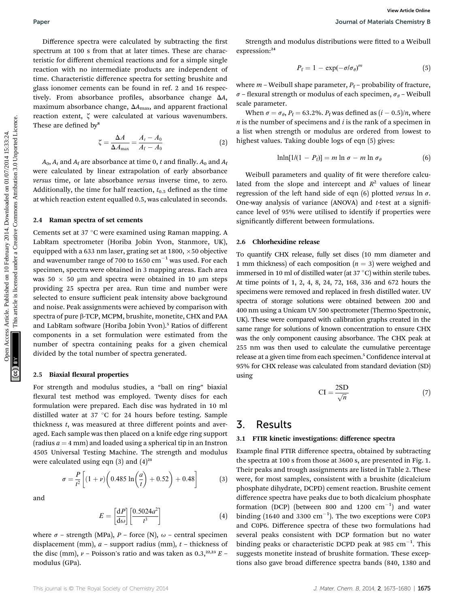Difference spectra were calculated by subtracting the first spectrum at 100 s from that at later times. These are characteristic for different chemical reactions and for a simple single reaction with no intermediate products are independent of time. Characteristic difference spectra for setting brushite and glass ionomer cements can be found in ref. 2 and 16 respectively. From absorbance profiles, absorbance change  $\Delta A$ , maximum absorbance change,  $\Delta A_{\text{max}}$ , and apparent fractional reaction extent,  $\zeta$  were calculated at various wavenumbers. These are defined by<sup>8</sup>

$$
\zeta = \frac{\Delta A}{\Delta A_{\text{max}}} = \frac{A_t - A_0}{A_f - A_0} \tag{2}
$$

 $A_0$ ,  $A_t$  and  $A_f$  are absorbance at time 0, t and finally.  $A_0$  and  $A_f$ were calculated by linear extrapolation of early absorbance versus time, or late absorbance versus inverse time, to zero. Additionally, the time for half reaction,  $t_{0.5}$  defined as the time at which reaction extent equalled 0.5, was calculated in seconds.

#### 2.4 Raman spectra of set cements

Cements set at  $37^{\circ}$ C were examined using Raman mapping. A LabRam spectrometer (Horiba Jobin Yvon, Stanmore, UK), equipped with a 633 nm laser, grating set at 1800,  $\times$  50 objective and wavenumber range of 700 to 1650  $cm^{-1}$  was used. For each specimen, spectra were obtained in 3 mapping areas. Each area was  $50 \times 50$  µm and spectra were obtained in 10 µm steps providing 25 spectra per area. Run time and number were selected to ensure sufficient peak intensity above background and noise. Peak assignments were achieved by comparison with spectra of pure β-TCP, MCPM, brushite, monetite, CHX and PAA and LabRam software (Horiba Jobin Yvon).<sup>5</sup> Ratios of different components in a set formulation were estimated from the number of spectra containing peaks for a given chemical divided by the total number of spectra generated. Paper<br>
Difference spectra were calculated by subtracting the first sixten article. The same of the same of the same of the same of the same of the same of the same of the same of the same of the same of the same of the sa

#### 2.5 Biaxial flexural properties

 $\sigma = \frac{P}{t^2}$ 

For strength and modulus studies, a "ball on ring" biaxial flexural test method was employed. Twenty discs for each formulation were prepared. Each disc was hydrated in 10 ml distilled water at 37  $\degree$ C for 24 hours before testing. Sample thickness  $t$ , was measured at three different points and averaged. Each sample was then placed on a knife edge ring support (radius  $a = 4$  mm) and loaded using a spherical tip in an Instron 4505 Universal Testing Machine. The strength and modulus were calculated using eqn  $(3)$  and  $(4)^{21}$ 

t

 $\left[ (1 + \nu) \left( 0.485 \ln \left( \frac{a}{t} \right) \right) \right]$ 

and

$$
E = \left[\frac{\mathrm{d}P}{\mathrm{d}\omega}\right] \left[\frac{0.5024a^2}{t^3}\right] \tag{4}
$$

 $\Big) + 0.52 + 0.48$ 

where  $\sigma$  – strength (MPa), P – force (N),  $\omega$  – central specimen displacement (mm),  $a$  – support radius (mm),  $t$  – thickness of the disc (mm),  $\nu$  – Poisson's ratio and was taken as 0.3,<sup>22,23</sup> E – modulus (GPa).

Strength and modulus distributions were fitted to a Weibull expression:<sup>24</sup>

$$
P_{\rm f} = 1 - \exp(-\sigma/\sigma_{\theta})^m \tag{5}
$$

where  $m$  – Weibull shape parameter,  $P_f$  – probability of fracture,  $\sigma$  – flexural strength or modulus of each specimen,  $\sigma_{\theta}$  – Weibull scale parameter.

When  $\sigma = \sigma_{\theta}$ ,  $P_f = 63.2\%$ .  $P_f$  was defined as  $(i - 0.5)/n$ , where  $n$  is the number of specimens and  $i$  is the rank of a specimen in a list when strength or modulus are ordered from lowest to highest values. Taking double logs of eqn (5) gives:

$$
\ln\ln[1/(1-P_f)] = m \ln \sigma - m \ln \sigma_\theta \tag{6}
$$

Weibull parameters and quality of fit were therefore calculated from the slope and intercept and  $R^2$  values of linear regression of the left hand side of eqn (6) plotted versus  $\ln \sigma$ . One-way analysis of variance (ANOVA) and  $t$ -test at a significance level of 95% were utilised to identify if properties were significantly different between formulations.

#### 2.6 Chlorhexidine release

To quantify CHX release, fully set discs (10 mm diameter and 1 mm thickness) of each composition  $(n = 3)$  were weighed and immersed in 10 ml of distilled water (at 37  $^{\circ}$ C) within sterile tubes. At time points of 1, 2, 4, 8, 24, 72, 168, 336 and 672 hours the specimens were removed and replaced in fresh distilled water. UV spectra of storage solutions were obtained between 200 and 400 nm using a Unicam UV 500 spectrometer (Thermo Spectronic, UK). These were compared with calibration graphs created in the same range for solutions of known concentration to ensure CHX was the only component causing absorbance. The CHX peak at 255 nm was then used to calculate the cumulative percentage release at a given time from each specimen.<sup>5</sup> Confidence interval at 95% for CHX release was calculated from standard deviation (SD) using

$$
CI = \frac{2SD}{\sqrt{n}}\tag{7}
$$

### 3. Results

(3)

#### 3.1 FTIR kinetic investigations: difference spectra

Example final FTIR difference spectra, obtained by subtracting the spectra at 100 s from those at 3600 s, are presented in Fig. 1. Their peaks and trough assignments are listed in Table 2. These were, for most samples, consistent with a brushite (dicalcium phosphate dihydrate, DCPD) cement reaction. Brushite cement difference spectra have peaks due to both dicalcium phosphate formation (DCP) (between 800 and 1200  $\text{cm}^{-1}$ ) and water binding (1640 and 3300  $\text{cm}^{-1}$ ). The two exceptions were C0P3 and C0P6. Difference spectra of these two formulations had several peaks consistent with DCP formation but no water binding peaks or characteristic DCPD peak at 985  $cm^{-1}$ . This suggests monetite instead of brushite formation. These exceptions also gave broad difference spectra bands (840, 1380 and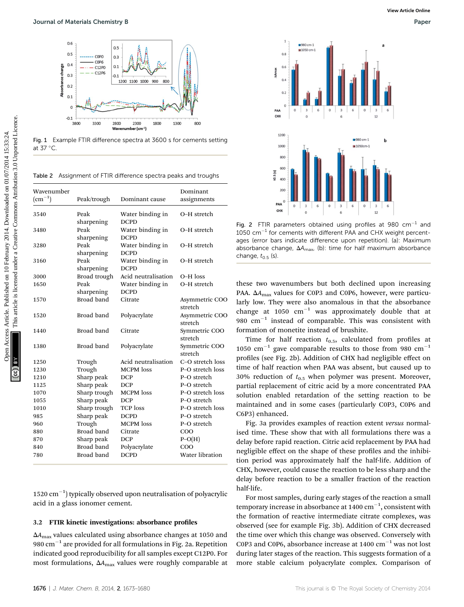

Fig. 1 Example FTIR difference spectra at 3600 s for cements setting at 37 °C.

Table 2 Assignment of FTIR difference spectra peaks and troughs

|                                                                                      | Journal of Materials Chemistry B                                            |                                                                                             |                           | View Article Online<br>Paper                                                                                                                                                                                                              |
|--------------------------------------------------------------------------------------|-----------------------------------------------------------------------------|---------------------------------------------------------------------------------------------|---------------------------|-------------------------------------------------------------------------------------------------------------------------------------------------------------------------------------------------------------------------------------------|
| 0.6<br>0.5<br>0.4<br>Absorbance change<br>0.3<br>0.2<br>0.1<br>$\mathbf 0$<br>$-0.1$ | <b>COPO</b><br>COP <sub>6</sub><br>C12P0<br>C12P6<br>$-0.1$<br>3800<br>3300 | 0.5<br>0.3<br>0.1<br>1200 1100 1000 900<br>800<br>2800<br>2300<br>1800<br>Wavenumber (cm-1) | 1300<br>800               | 1<br>980 cm-1<br>1050 cm-1<br>0.8<br>0.6<br><b>Mmax</b><br>0.4<br>0.2<br>6<br>$\mathsf{o}$<br>$\overline{\mathbf{3}}$<br>$\overline{\mathbf{3}}$<br>$\overline{\mathbf{3}}$<br>6<br>$\mathbf 0$<br>6<br>PAA<br>CHX<br>$\Omega$<br>12<br>6 |
| at $37^{\circ}$ C.                                                                   |                                                                             | Fig. 1 Example FTIR difference spectra at 3600 s for cements setting                        |                           | 1200<br>980 cm-1<br>b<br>1000<br>■ 1050cm-1                                                                                                                                                                                               |
| Wavenumber                                                                           |                                                                             | Table 2 Assignment of FTIR difference spectra peaks and troughs                             | Dominant                  | 800<br>600<br>10.5(s)<br>400<br>200                                                                                                                                                                                                       |
| $\rm (cm^{-1})$                                                                      | Peak/trough                                                                 | Dominant cause                                                                              | assignments               | PAA<br>$_{3}$<br>6<br>$\mathbf 0$<br>$\overline{3}$<br>6<br>$\mathsf{O}$<br>$\overline{\mathbf{3}}$<br>6<br>$\,$ 0                                                                                                                        |
| 3540                                                                                 | Peak<br>sharpening                                                          | Water binding in<br><b>DCPD</b>                                                             | O-H stretch               | CHX<br>12<br>6<br>$\Omega$                                                                                                                                                                                                                |
| 3480                                                                                 | Peak                                                                        | Water binding in                                                                            | O-H stretch               | Fig. 2 FTIR parameters obtained using profiles at 980 $cm^{-1}$ and<br>$1050 \text{ cm}^{-1}$ for cements with different PAA and CHX weight percent-                                                                                      |
| 3280                                                                                 | sharpening<br>Peak                                                          | <b>DCPD</b><br>Water binding in                                                             | O-H stretch               | ages (error bars indicate difference upon repetition). (a): Maximum<br>absorbance change, $\Delta A_{\text{max}}$ , (b): time for half maximum absorbance                                                                                 |
|                                                                                      | sharpening                                                                  | <b>DCPD</b>                                                                                 |                           | change, $t_{0.5}$ (s).                                                                                                                                                                                                                    |
| 3160                                                                                 | Peak<br>sharpening                                                          | Water binding in<br><b>DCPD</b>                                                             | O-H stretch               |                                                                                                                                                                                                                                           |
| 3000                                                                                 | Broad trough                                                                | Acid neutralisation                                                                         | O-H loss                  |                                                                                                                                                                                                                                           |
| 1650                                                                                 | Peak                                                                        | Water binding in                                                                            | O-H stretch               | these two wavenumbers but both declined upon increasing                                                                                                                                                                                   |
|                                                                                      | sharpening                                                                  | <b>DCPD</b>                                                                                 |                           | PAA. $\Delta A_{\text{max}}$ values for C0P3 and C0P6, however, were particu-                                                                                                                                                             |
| 1570                                                                                 | Broad band                                                                  | Citrate                                                                                     | Asymmetric COO<br>stretch | larly low. They were also anomalous in that the absorbance                                                                                                                                                                                |
| 1520                                                                                 | Broad band                                                                  | Polyacrylate                                                                                | Asymmetric COO<br>stretch | change at $1050 \text{ cm}^{-1}$ was approximately double that at<br>980 $\text{cm}^{-1}$ instead of comparable. This was consistent with                                                                                                 |
| 1440                                                                                 | Broad band                                                                  | Citrate                                                                                     | Symmetric COO<br>stretch  | formation of monetite instead of brushite.<br>Time for half reaction $t_{0.5}$ , calculated from profiles at                                                                                                                              |
| 1380                                                                                 | Broad band                                                                  | Polyacrylate                                                                                | Symmetric COO<br>stretch  | 1050 cm <sup>-1</sup> gave comparable results to those from 980 cm <sup>-1</sup>                                                                                                                                                          |
| 1250                                                                                 | Trough                                                                      | Acid neutralisation                                                                         | C-O stretch loss          | profiles (see Fig. 2b). Addition of CHX had negligible effect or                                                                                                                                                                          |
| 1230                                                                                 | Trough                                                                      | MCPM loss                                                                                   | P-O stretch loss          | time of half reaction when PAA was absent, but caused up to                                                                                                                                                                               |
| 1210                                                                                 | Sharp peak                                                                  | DCP                                                                                         | P-O stretch               | 30% reduction of $t_{0.5}$ when polymer was present. Moreover                                                                                                                                                                             |
| 1125                                                                                 | Sharp peak                                                                  | DCP                                                                                         | P-O stretch               | partial replacement of citric acid by a more concentrated PAA                                                                                                                                                                             |
| 1070                                                                                 | Sharp trough                                                                | MCPM loss                                                                                   | P-O stretch loss          | solution enabled retardation of the setting reaction to be                                                                                                                                                                                |
| 1055                                                                                 | Sharp peak                                                                  | <b>DCP</b>                                                                                  | P-O stretch               | maintained and in some cases (particularly C0P3, C0P6 and                                                                                                                                                                                 |
| 1010                                                                                 | Sharp trough                                                                | <b>TCP</b> loss                                                                             | P-O stretch loss          |                                                                                                                                                                                                                                           |
| 985                                                                                  | Sharp peak                                                                  | <b>DCPD</b>                                                                                 | P-O stretch               | C6P3) enhanced.                                                                                                                                                                                                                           |
| 960                                                                                  | Trough                                                                      | MCPM loss                                                                                   | P-O stretch               | Fig. 3a provides examples of reaction extent versus normal                                                                                                                                                                                |
| 880                                                                                  | Broad band                                                                  | Citrate                                                                                     | $_{\rm COO}$              | ised time. These show that with all formulations there was a                                                                                                                                                                              |
| 870                                                                                  | Sharp peak                                                                  | DCP                                                                                         | $P-O(H)$                  | delay before rapid reaction. Citric acid replacement by PAA had                                                                                                                                                                           |
| 840                                                                                  | Broad band                                                                  | Polyacrylate                                                                                | $_{\rm COO}$              | negligible effect on the shape of these profiles and the inhibi-                                                                                                                                                                          |
| 780                                                                                  | Broad band                                                                  | <b>DCPD</b>                                                                                 | Water libration           | tion, pouiod uses connective the belf the belf life. Addition of                                                                                                                                                                          |

 $1520 \text{ cm}^{-1}$ ) typically observed upon neutralisation of polyacrylic acid in a glass ionomer cement.

#### 3.2 FTIR kinetic investigations: absorbance profiles

 $\Delta A_{\text{max}}$  values calculated using absorbance changes at 1050 and 980  $\text{cm}^{-1}$  are provided for all formulations in Fig. 2a. Repetition indicated good reproducibility for all samples except C12P0. For most formulations,  $\Delta A_{\text{max}}$  values were roughly comparable at



Fig. 2 FTIR parameters obtained using profiles at 980  $cm^{-1}$  and  $1050$  cm<sup>-1</sup> for cements with different PAA and CHX weight percentages (error bars indicate difference upon repetition). (a): Maximum absorbance change,  $\Delta A_{\text{max}}$ , (b): time for half maximum absorbance change,  $t_{0.5}$  (s).

Fig. 3a provides examples of reaction extent versus normalised time. These show that with all formulations there was a delay before rapid reaction. Citric acid replacement by PAA had negligible effect on the shape of these profiles and the inhibition period was approximately half the half-life. Addition of CHX, however, could cause the reaction to be less sharp and the delay before reaction to be a smaller fraction of the reaction half-life.

For most samples, during early stages of the reaction a small temporary increase in absorbance at 1400  $\mathrm{cm}^{-1}$ , consistent with the formation of reactive intermediate citrate complexes, was observed (see for example Fig. 3b). Addition of CHX decreased the time over which this change was observed. Conversely with C0P3 and C0P6, absorbance increase at  $1400 \text{ cm}^{-1}$  was not lost during later stages of the reaction. This suggests formation of a more stable calcium polyacrylate complex. Comparison of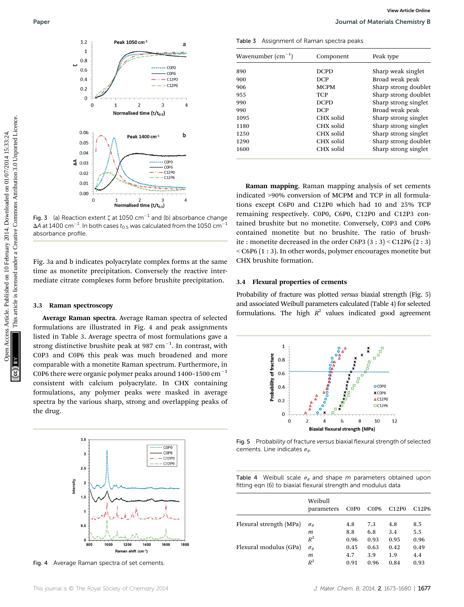

Fig. 3 (a) Reaction extent  $\zeta$  at 1050 cm<sup>-1</sup> and (b) absorbance change  $\Delta$ A at 1400 cm $^{-1}$ . In both cases  $t_{0.5}$  was calculated from the 1050 cm $^{-1}$ absorbance profile.

Fig. 3a and b indicates polyacrylate complex forms at the same time as monetite precipitation. Conversely the reactive intermediate citrate complexes form before brushite precipitation.

#### 3.3 Raman spectroscopy

Average Raman spectra. Average Raman spectra of selected formulations are illustrated in Fig. 4 and peak assignments listed in Table 3. Average spectra of most formulations gave a strong distinctive brushite peak at 987  $\text{cm}^{-1}$ . In contrast, with C0P3 and C0P6 this peak was much broadened and more comparable with a monetite Raman spectrum. Furthermore, in C0P6 there were organic polymer peaks around  $1400-1500$  cm<sup>-1</sup> consistent with calcium polyacrylate. In CHX containing formulations, any polymer peaks were masked in average spectra by the various sharp, strong and overlapping peaks of the drug.



Fig. 4 Average Raman spectra of set cements.

Table 3 Assignment of Raman spectra peaks

| Wavenumber $\rm (cm^{-1})$ | Component   | Peak type            |  |  |
|----------------------------|-------------|----------------------|--|--|
| 890                        | <b>DCPD</b> | Sharp weak singlet   |  |  |
| 900                        | <b>DCP</b>  | Broad weak peak      |  |  |
| 906                        | <b>MCPM</b> | Sharp strong doublet |  |  |
| 955                        | <b>TCP</b>  | Sharp strong doublet |  |  |
| 990                        | <b>DCPD</b> | Sharp strong singlet |  |  |
| 990                        | <b>DCP</b>  | Broad weak peak      |  |  |
| 1095                       | CHX solid   | Sharp strong singlet |  |  |
| 1180                       | CHX solid   | Sharp strong singlet |  |  |
| 1250                       | CHX solid   | Sharp strong singlet |  |  |
| 1290                       | CHX solid   | Sharp strong doublet |  |  |
| 1600                       | CHX solid   | Sharp strong singlet |  |  |

Raman mapping. Raman mapping analysis of set cements indicated >90% conversion of MCPM and TCP in all formulations except C6P0 and C12P0 which had 10 and 25% TCP remaining respectively. C0P0, C6P0, C12P0 and C12P3 contained brushite but no monetite. Conversely, C0P3 and C0P6 contained monetite but no brushite. The ratio of brushite : monetite decreased in the order C6P3 (3 : 3) < C12P6 (2 : 3) < C6P6 (1 : 3). In other words, polymer encourages monetite but CHX brushite formation.

### 3.4 Flexural properties of cements

Probability of fracture was plotted versus biaxial strength (Fig. 5) and associated Weibull parameters calculated (Table 4) for selected formulations. The high  $R^2$  values indicated good agreement



Fig. 5 Probability of fracture versus biaxial flexural strength of selected cements. Line indicates  $\sigma_{\theta}$ 

|  |  |  |  | Table 4 Weibull scale $\sigma_{\theta}$ and shape m parameters obtained upon |  |
|--|--|--|--|------------------------------------------------------------------------------|--|
|  |  |  |  | fitting eqn (6) to biaxial flexural strength and modulus data                |  |

|                         | Weibull<br>parameters | C <sub>0</sub> P <sub>0</sub> | C <sub>0</sub> P <sub>6</sub> | C <sub>12</sub> P <sub>0</sub> | C <sub>12</sub> P <sub>6</sub> |
|-------------------------|-----------------------|-------------------------------|-------------------------------|--------------------------------|--------------------------------|
| Flexural strength (MPa) | $\sigma_{\theta}$     | 4.8                           | 7.3                           | 4.8                            | 8.5                            |
|                         | т                     | 8.8                           | 6.8                           | 3.4                            | 5.5                            |
|                         | $R^2$                 | 0.96                          | 0.93                          | 0.95                           | 0.96                           |
| Flexural modulus (GPa)  | $\sigma_{\theta}$     | 0.45                          | 0.63                          | 0.42                           | 0.49                           |
|                         | т                     | 4.7                           | 3.9                           | 1.9                            | 4.4                            |
|                         | $\,R^2$               | 0.91                          | 0.96                          | 0.84                           | 0.93                           |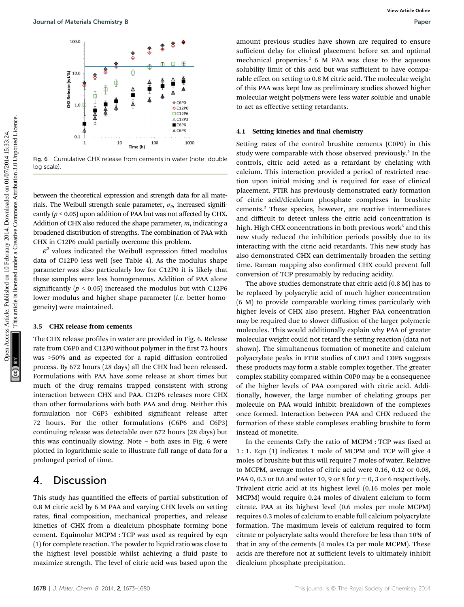

Fig. 6 Cumulative CHX release from cements in water (note: double log scale)

between the theoretical expression and strength data for all materials. The Weibull strength scale parameter,  $\sigma_{\theta}$ , increased significantly  $(p < 0.05)$  upon addition of PAA but was not affected by CHX. Addition of CHX also reduced the shape parameter,  $m$ , indicating a broadened distribution of strengths. The combination of PAA with CHX in C12P6 could partially overcome this problem.

 $R<sup>2</sup>$  values indicated the Weibull expression fitted modulus data of C12P0 less well (see Table 4). As the modulus shape parameter was also particularly low for C12P0 it is likely that these samples were less homogeneous. Addition of PAA alone significantly ( $p < 0.05$ ) increased the modulus but with C12P6 lower modulus and higher shape parameter  $(i.e.$  better homogeneity) were maintained.

### 3.5 CHX release from cements

The CHX release profiles in water are provided in Fig. 6. Release rate from C6P0 and C12P0 without polymer in the first 72 hours was >50% and as expected for a rapid diffusion controlled process. By 672 hours (28 days) all the CHX had been released. Formulations with PAA have some release at short times but much of the drug remains trapped consistent with strong interaction between CHX and PAA. C12P6 releases more CHX than other formulations with both PAA and drug. Neither this formulation nor C6P3 exhibited significant release after 72 hours. For the other formulations (C6P6 and C6P3) continuing release was detectable over 672 hours (28 days) but this was continually slowing. Note – both axes in Fig. 6 were plotted in logarithmic scale to illustrate full range of data for a prolonged period of time.

### 4. Discussion

This study has quantified the effects of partial substitution of 0.8 M citric acid by 6 M PAA and varying CHX levels on setting rates, final composition, mechanical properties, and release kinetics of CHX from a dicalcium phosphate forming bone cement. Equimolar MCPM : TCP was used as required by eqn (1) for complete reaction. The powder to liquid ratio was close to the highest level possible whilst achieving a fluid paste to maximize strength. The level of citric acid was based upon the

amount previous studies have shown are required to ensure sufficient delay for clinical placement before set and optimal mechanical properties.<sup>2</sup> 6 M PAA was close to the aqueous solubility limit of this acid but was sufficient to have comparable effect on setting to 0.8 M citric acid. The molecular weight of this PAA was kept low as preliminary studies showed higher molecular weight polymers were less water soluble and unable to act as effective setting retardants.

#### 4.1 Setting kinetics and final chemistry

Setting rates of the control brushite cements (C0P0) in this study were comparable with those observed previously.<sup>5</sup> In the controls, citric acid acted as a retardant by chelating with calcium. This interaction provided a period of restricted reaction upon initial mixing and is required for ease of clinical placement. FTIR has previously demonstrated early formation of citric acid/dicalcium phosphate complexes in brushite cements.<sup>2</sup> These species, however, are reactive intermediates and difficult to detect unless the citric acid concentration is high. High CHX concentrations in both previous work<sup>5</sup> and this new study reduced the inhibition periods possibly due to its interacting with the citric acid retardants. This new study has also demonstrated CHX can detrimentally broaden the setting time. Raman mapping also confirmed CHX could prevent full conversion of TCP presumably by reducing acidity. Open Access Article. Published on 10 February 2014. Downloaded on 01/07/2014 15:33:24. This article is licensed under a [Creative Commons Attribution 3.0 Unported Licence.](http://creativecommons.org/licenses/by/3.0/) **[View Article Online](http://dx.doi.org/10.1039/c3tb21533d)**

The above studies demonstrate that citric acid (0.8 M) has to be replaced by polyacrylic acid of much higher concentration (6 M) to provide comparable working times particularly with higher levels of CHX also present. Higher PAA concentration may be required due to slower diffusion of the larger polymeric molecules. This would additionally explain why PAA of greater molecular weight could not retard the setting reaction (data not shown). The simultaneous formation of monetite and calcium polyacrylate peaks in FTIR studies of C0P3 and C0P6 suggests these products may form a stable complex together. The greater complex stability compared within C0P0 may be a consequence of the higher levels of PAA compared with citric acid. Additionally, however, the large number of chelating groups per molecule on PAA would inhibit breakdown of the complexes once formed. Interaction between PAA and CHX reduced the formation of these stable complexes enabling brushite to form instead of monetite.

In the cements  $CxPy$  the ratio of  $MCPM$  : TCP was fixed at 1 : 1. Eqn (1) indicates 1 mole of MCPM and TCP will give 4 moles of brushite but this will require 7 moles of water. Relative to MCPM, average moles of citric acid were 0.16, 0.12 or 0.08, PAA 0, 0.3 or 0.6 and water 10, 9 or 8 for  $y = 0$ , 3 or 6 respectively. Trivalent citric acid at its highest level (0.16 moles per mole MCPM) would require 0.24 moles of divalent calcium to form citrate. PAA at its highest level (0.6 moles per mole MCPM) requires 0.3 moles of calcium to enable full calcium polyacrylate formation. The maximum levels of calcium required to form citrate or polyacrylate salts would therefore be less than 10% of that in any of the cements (4 moles Ca per mole MCPM). These acids are therefore not at sufficient levels to ultimately inhibit dicalcium phosphate precipitation.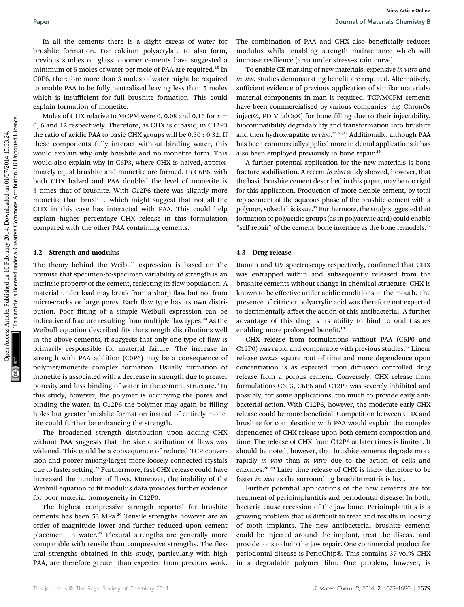In all the cements there is a slight excess of water for brushite formation. For calcium polyacrylate to also form, previous studies on glass ionomer cements have suggested a minimum of 5 moles of water per mole of PAA are required.<sup>15</sup> In C0P6, therefore more than 3 moles of water might be required to enable PAA to be fully neutralised leaving less than 5 moles which is insufficient for full brushite formation. This could explain formation of monetite.

Moles of CHX relative to MCPM were 0, 0.08 and 0.16 for  $x =$ 0, 6 and 12 respectively. Therefore, as CHX is dibasic, in C12P3 the ratio of acidic PAA to basic CHX groups will be 0.30 : 0.32. If these components fully interact without binding water, this would explain why only brushite and no monetite form. This would also explain why in C6P3, where CHX is halved, approximately equal brushite and monetite are formed. In C6P6, with both CHX halved and PAA doubled the level of monetite is 3 times that of brushite. With C12P6 there was slightly more monetite than brushite which might suggest that not all the CHX in this case has interacted with PAA. This could help explain higher percentage CHX release in this formulation compared with the other PAA containing cements. Paper<br>
The chomos three three states are slight occess of vater for the combination of PAA careform contents are compared to the comparison of the state of the state of the state of the state of the state of the state of t

#### 4.2 Strength and modulus

The theory behind the Weibull expression is based on the premise that specimen-to-specimen variability of strength is an intrinsic property of the cement, reflecting its flaw population. A material under load may break from a sharp flaw but not from micro-cracks or large pores. Each flaw type has its own distribution. Poor fitting of a simple Weibull expression can be indicative of fracture resulting from multiple flaw types.<sup>24</sup> As the Weibull equation described fits the strength distributions well in the above cements, it suggests that only one type of flaw is primarily responsible for material failure. The increase in strength with PAA addition (C0P6) may be a consequence of polymer/monetite complex formation. Usually formation of monetite is associated with a decrease in strength due to greater porosity and less binding of water in the cement structure.<sup>8</sup> In this study, however, the polymer is occupying the pores and binding the water. In C12P6 the polymer may again be filling holes but greater brushite formation instead of entirely monetite could further be enhancing the strength.

The broadened strength distribution upon adding CHX without PAA suggests that the size distribution of flaws was widened. This could be a consequence of reduced TCP conversion and poorer mixing/larger more loosely connected crystals due to faster setting.<sup>25</sup> Furthermore, fast CHX release could have increased the number of flaws. Moreover, the inability of the Weibull equation to fit modulus data provides further evidence for poor material homogeneity in C12P0.

The highest compressive strength reported for brushite cements has been 53 MPa.<sup>26</sup> Tensile strengths however are an order of magnitude lower and further reduced upon cement placement in water.<sup>25</sup> Flexural strengths are generally more comparable with tensile than compressive strengths. The flexural strengths obtained in this study, particularly with high PAA, are therefore greater than expected from previous work.

The combination of PAA and CHX also beneficially reduces modulus whilst enabling strength maintenance which will increase resilience (area under stress–strain curve).

To enable CE marking of new materials, expensive in vitro and in vivo studies demonstrating benefit are required. Alternatively, sufficient evidence of previous application of similar materials/ material components in man is required. TCP/MCPM cements have been commercialised by various companies (e.g. ChronOs inject®, PD VitalOs®) for bone filling due to their injectability, biocompatibility degradability and transformation into brushite and then hydroxyapatite in vivo.<sup>25,31,32</sup> Additionally, although PAA has been commercially applied more in dental applications it has also been employed previously in bone repair.<sup>33</sup>

A further potential application for the new materials is bone fracture stabilisation. A recent in vivo study showed, however, that the basic brushite cement described in this paper, may be too rigid for this application. Production of more flexible cement, by total replacement of the aqueous phase of the brushite cement with a polymer, solved this issue.<sup>32</sup> Furthermore, the study suggested that formation of polyacidic groups (as in polyacrylic acid) could enable "self-repair" of the cement-bone interface as the bone remodels.<sup>32</sup>

#### 4.3 Drug release

Raman and UV spectroscopy respectively, confirmed that CHX was entrapped within and subsequently released from the brushite cements without change in chemical structure. CHX is known to be effective under acidic conditions in the mouth. The presence of citric or polyacrylic acid was therefore not expected to detrimentally affect the action of this antibacterial. A further advantage of this drug is its ability to bind to oral tissues enabling more prolonged benefit.<sup>14</sup>

CHX release from formulations without PAA (C6P0 and C12P0) was rapid and comparable with previous studies.<sup>27</sup> Linear release versus square root of time and none dependence upon concentration is as expected upon diffusion controlled drug release from a porous cement. Conversely, CHX release from formulations C6P3, C6P6 and C12P3 was severely inhibited and possibly, for some applications, too much to provide early antibacterial action. With C12P6, however, the moderate early CHX release could be more beneficial. Competition between CHX and brushite for complexation with PAA would explain the complex dependence of CHX release upon both cement composition and time. The release of CHX from C12P6 at later times is limited. It should be noted, however, that brushite cements degrade more rapidly in vivo than in vitro due to the action of cells and enzymes.<sup>28</sup>–<sup>30</sup> Later time release of CHX is likely therefore to be faster *in vivo* as the surrounding brushite matrix is lost.

Further potential applications of the new cements are for treatment of perioimplantitis and periodontal disease. In both, bacteria cause recession of the jaw bone. Perioimplantitis is a growing problem that is difficult to treat and results in loosing of tooth implants. The new antibacterial brushite cements could be injected around the implant, treat the disease and provide ions to help the jaw repair. One commercial product for periodontal disease is PerioChip®. This contains 37 vol% CHX in a degradable polymer film. One problem, however, is